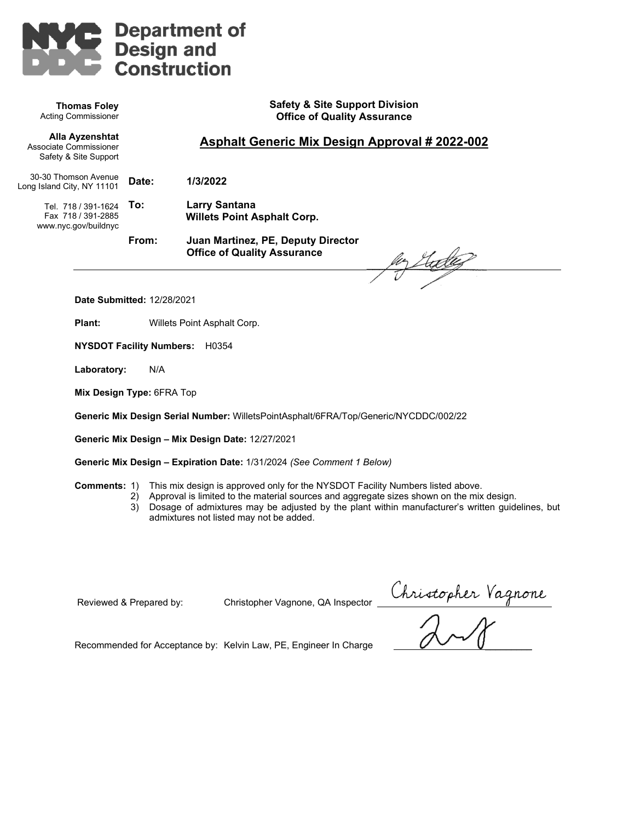

**Thomas Foley** Acting Commissioner **Safety & Site Support Division Office of Quality Assurance** 

**Asphalt Generic Mix Design Approval # 2022-002** 

**Alla Ayzenshtat** Associate Commissioner Safety & Site Support

30-30 Thomson Avenue Long Island City, NY 11101

**Date: 1/3/2022** 

Tel. 718 / 391-1624 **To:** Fax 718 / 391-2885 www.nyc.gov/buildnyc

**To: Larry Santana Willets Point Asphalt Corp.**

**From: Juan Martinez, PE, Deputy Director Office of Quality Assurance** 

her Studies

**Date Submitted:** 12/28/2021

**Plant:** Willets Point Asphalt Corp.

**NYSDOT Facility Numbers:** H0354

**Laboratory:** N/A

**Mix Design Type:** 6FRA Top

**Generic Mix Design Serial Number:** WilletsPointAsphalt/6FRA/Top/Generic/NYCDDC/002/22

**Generic Mix Design – Mix Design Date:** 12/27/2021

**Generic Mix Design – Expiration Date:** 1/31/2024 *(See Comment 1 Below)*

**Comments:** 1) This mix design is approved only for the NYSDOT Facility Numbers listed above.

- 2) Approval is limited to the material sources and aggregate sizes shown on the mix design.
	- 3) Dosage of admixtures may be adjusted by the plant within manufacturer's written guidelines, but admixtures not listed may not be added.

Reviewed & Prepared by: Christopher Vagnone, QA Inspector

Christopher Vagnone

Recommended for Acceptance by: Kelvin Law, PE, Engineer In Charge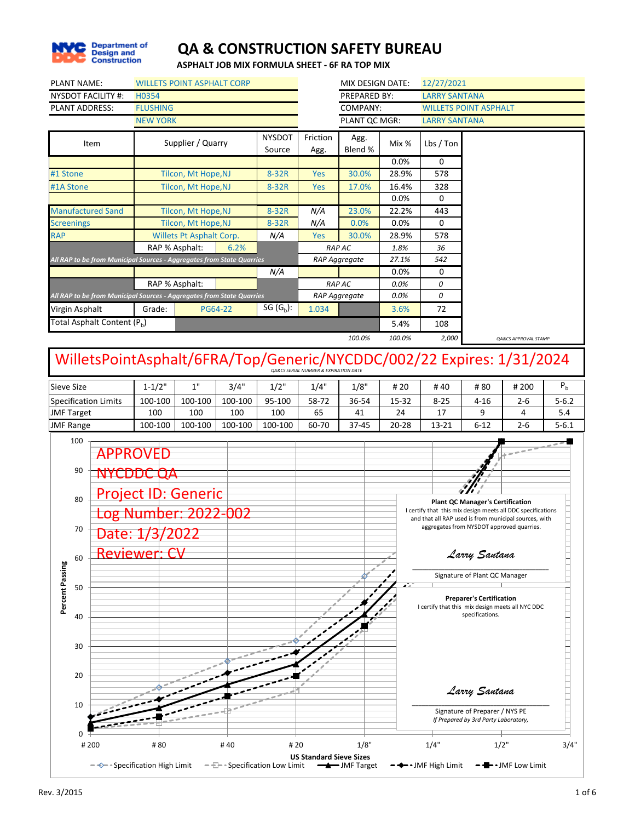

**ASPHALT JOB MIX FORMULA SHEET - 6F RA TOP MIX**

| <b>NYSDOT FACILITY #:</b><br><b>PLANT ADDRESS:</b>                                  | H0354<br><b>FLUSHING</b>                                                                                 |                                                        |                |                         |                                                      |                 |               |                                                                                                                                                                          |                                                                                                                                                                                                                                            |                                           |           |
|-------------------------------------------------------------------------------------|----------------------------------------------------------------------------------------------------------|--------------------------------------------------------|----------------|-------------------------|------------------------------------------------------|-----------------|---------------|--------------------------------------------------------------------------------------------------------------------------------------------------------------------------|--------------------------------------------------------------------------------------------------------------------------------------------------------------------------------------------------------------------------------------------|-------------------------------------------|-----------|
|                                                                                     |                                                                                                          |                                                        |                |                         |                                                      | PREPARED BY:    |               | <b>LARRY SANTANA</b>                                                                                                                                                     |                                                                                                                                                                                                                                            |                                           |           |
|                                                                                     |                                                                                                          |                                                        |                |                         |                                                      | COMPANY:        |               |                                                                                                                                                                          | <b>WILLETS POINT ASPHALT</b>                                                                                                                                                                                                               |                                           |           |
|                                                                                     | <b>NEW YORK</b>                                                                                          |                                                        |                |                         |                                                      | PLANT QC MGR:   |               | <b>LARRY SANTANA</b>                                                                                                                                                     |                                                                                                                                                                                                                                            |                                           |           |
| Item                                                                                |                                                                                                          | Supplier / Quarry                                      |                | <b>NYSDOT</b><br>Source | Friction<br>Agg.                                     | Agg.<br>Blend % | Mix %         | Lbs / Ton                                                                                                                                                                |                                                                                                                                                                                                                                            |                                           |           |
|                                                                                     |                                                                                                          |                                                        |                |                         |                                                      |                 | 0.0%          | 0                                                                                                                                                                        |                                                                                                                                                                                                                                            |                                           |           |
| #1 Stone                                                                            |                                                                                                          | Tilcon, Mt Hope, NJ                                    |                | 8-32R                   | Yes                                                  | 30.0%           | 28.9%         | 578                                                                                                                                                                      |                                                                                                                                                                                                                                            |                                           |           |
| #1A Stone                                                                           |                                                                                                          | Tilcon, Mt Hope, NJ                                    |                | 8-32R                   | Yes                                                  | 17.0%           | 16.4%         | 328                                                                                                                                                                      |                                                                                                                                                                                                                                            |                                           |           |
|                                                                                     |                                                                                                          |                                                        |                |                         |                                                      |                 | 0.0%          | 0                                                                                                                                                                        |                                                                                                                                                                                                                                            |                                           |           |
| <b>Manufactured Sand</b>                                                            |                                                                                                          | Tilcon, Mt Hope, NJ                                    |                | 8-32R                   | N/A                                                  | 23.0%           | 22.2%         | 443<br>0                                                                                                                                                                 |                                                                                                                                                                                                                                            |                                           |           |
| <b>Screenings</b><br><b>RAP</b>                                                     |                                                                                                          | Tilcon, Mt Hope, NJ<br><b>Willets Pt Asphalt Corp.</b> |                | 8-32R<br>N/A            | N/A<br><b>Yes</b>                                    | 0.0%<br>30.0%   | 0.0%<br>28.9% | 578                                                                                                                                                                      |                                                                                                                                                                                                                                            |                                           |           |
|                                                                                     |                                                                                                          | RAP % Asphalt:                                         | 6.2%           |                         |                                                      | <b>RAP AC</b>   | 1.8%          | 36                                                                                                                                                                       |                                                                                                                                                                                                                                            |                                           |           |
| All RAP to be from Municipal Sources - Aggregates from State Quarries               |                                                                                                          |                                                        |                |                         |                                                      | RAP Aggregate   | 27.1%         | 542                                                                                                                                                                      |                                                                                                                                                                                                                                            |                                           |           |
|                                                                                     |                                                                                                          |                                                        |                | N/A                     |                                                      |                 | 0.0%          | 0                                                                                                                                                                        |                                                                                                                                                                                                                                            |                                           |           |
|                                                                                     |                                                                                                          | RAP % Asphalt:                                         |                |                         |                                                      | <b>RAP AC</b>   | 0.0%          | 0                                                                                                                                                                        |                                                                                                                                                                                                                                            |                                           |           |
| All RAP to be from Municipal Sources - Aggregates from State Quarries               |                                                                                                          |                                                        |                |                         |                                                      | RAP Aggregate   | 0.0%          | 0                                                                                                                                                                        |                                                                                                                                                                                                                                            |                                           |           |
| Virgin Asphalt                                                                      | Grade:                                                                                                   |                                                        | <b>PG64-22</b> | SG $(G_b)$ :            | 1.034                                                |                 | 3.6%          | 72                                                                                                                                                                       |                                                                                                                                                                                                                                            |                                           |           |
| Total Asphalt Content (P <sub>b</sub> )                                             |                                                                                                          |                                                        |                |                         |                                                      |                 | 5.4%          | 108                                                                                                                                                                      |                                                                                                                                                                                                                                            |                                           |           |
|                                                                                     |                                                                                                          |                                                        |                |                         |                                                      | 100.0%          | 100.0%        | 2,000                                                                                                                                                                    |                                                                                                                                                                                                                                            | QA&CS APPROVAL STAMP                      |           |
| WilletsPointAsphalt/6FRA/Top/Generic/NYCDDC/002/22 Expires: 1/31/2024               |                                                                                                          |                                                        |                |                         | <b>OA&amp;CS SERIAL NUMBER &amp; EXPIRATION DATE</b> |                 |               |                                                                                                                                                                          |                                                                                                                                                                                                                                            |                                           |           |
| <b>Sieve Size</b>                                                                   | $1 - 1/2"$                                                                                               | 1"                                                     | 3/4"           | 1/2"                    | 1/4"                                                 | 1/8"            | # 20          | #40                                                                                                                                                                      | #80                                                                                                                                                                                                                                        | # 200                                     | $P_{b}$   |
| <b>Specification Limits</b>                                                         | 100-100                                                                                                  | 100-100                                                | 100-100        | 95-100                  | 58-72                                                | 36-54           | 15-32         | $8 - 25$                                                                                                                                                                 | 4-16                                                                                                                                                                                                                                       | $2 - 6$                                   | $5 - 6.2$ |
| <b>JMF Target</b>                                                                   | 100                                                                                                      | 100                                                    | 100            | 100                     | 65                                                   | 41              | 24            | 17                                                                                                                                                                       | 9                                                                                                                                                                                                                                          | 4                                         | 5.4       |
| <b>JMF Range</b><br>100                                                             | 100-100                                                                                                  | 100-100                                                | 100-100        | 100-100                 | 60-70                                                | 37-45           | $20 - 28$     | 13-21                                                                                                                                                                    | $6 - 12$                                                                                                                                                                                                                                   | $2 - 6$                                   | $5 - 6.1$ |
| 90<br>80<br>70<br>Date: 1/3/<br>60<br>Percent Passing<br>50<br>40<br>30<br>20<br>10 | <b>APPROVED</b><br>NYCDDC QA<br><b>Project ID: Generic</b><br>og Number: 2022-002<br><b>Reviewer: CV</b> | 2022                                                   |                |                         |                                                      |                 |               | I certify that this mix design meets all DDC specifications<br>and that all RAP used is from municipal sources, with<br>I certify that this mix design meets all NYC DDC | <b>Plant QC Manager's Certification</b><br>Larry Santana<br>Signature of Plant QC Manager<br><b>Preparer's Certification</b><br>specifications.<br>Larry Santana<br>Signature of Preparer / NYS PE<br>If Prepared by 3rd Party Laboratory, | aggregates from NYSDOT approved quarries. |           |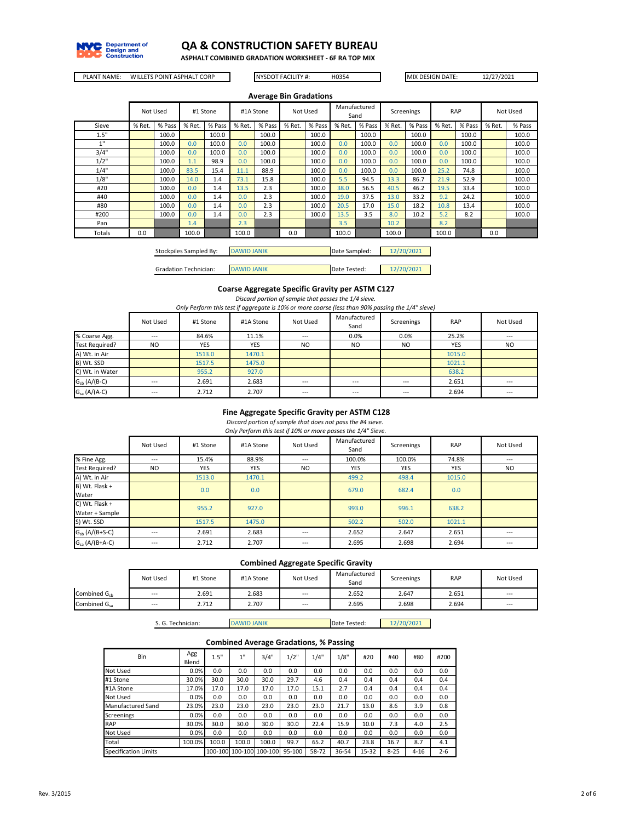

**ASPHALT COMBINED GRADATION WORKSHEET - 6F RA TOP MIX**

PLANT NAME: WILLETS POINT ASPHALT CORP NYSDOT FACILITY #: H0354 MIX DESIGN DATE: 12/27/2021

```
NYSDOT FACILITY #:
```

|        |        |          |        |          |        | <b>Average Bin Gradations</b> |        |          |        |                      |            |        |        |            |        |          |
|--------|--------|----------|--------|----------|--------|-------------------------------|--------|----------|--------|----------------------|------------|--------|--------|------------|--------|----------|
|        |        | Not Used |        | #1 Stone |        | #1A Stone                     |        | Not Used |        | Manufactured<br>Sand | Screenings |        |        | <b>RAP</b> |        | Not Used |
| Sieve  | % Ret. | % Pass   | % Ret. | % Pass   | % Ret. | % Pass                        | % Ret. | % Pass   | % Ret. | % Pass               | % Ret.     | % Pass | % Ret. | % Pass     | % Ret. | % Pass   |
| 1.5"   |        | 100.0    |        | 100.0    |        | 100.0                         |        | 100.0    |        | 100.0                |            | 100.0  |        | 100.0      |        | 100.0    |
| 1"     |        | 100.0    | 0.0    | 100.0    | 0.0    | 100.0                         |        | 100.0    | 0.0    | 100.0                | 0.0        | 100.0  | 0.0    | 100.0      |        | 100.0    |
| 3/4"   |        | 100.0    | 0.0    | 100.0    | 0.0    | 100.0                         |        | 100.0    | 0.0    | 100.0                | 0.0        | 100.0  | 0.0    | 100.0      |        | 100.0    |
| 1/2"   |        | 100.0    | 1.1    | 98.9     | 0.0    | 100.0                         |        | 100.0    | 0.0    | 100.0                | 0.0        | 100.0  | 0.0    | 100.0      |        | 100.0    |
| 1/4"   |        | 100.0    | 83.5   | 15.4     | 11.1   | 88.9                          |        | 100.0    | 0.0    | 100.0                | 0.0        | 100.0  | 25.2   | 74.8       |        | 100.0    |
| 1/8"   |        | 100.0    | 14.0   | 1.4      | 73.1   | 15.8                          |        | 100.0    | 5.5    | 94.5                 | 13.3       | 86.7   | 21.9   | 52.9       |        | 100.0    |
| #20    |        | 100.0    | 0.0    | 1.4      | 13.5   | 2.3                           |        | 100.0    | 38.0   | 56.5                 | 40.5       | 46.2   | 19.5   | 33.4       |        | 100.0    |
| #40    |        | 100.0    | 0.0    | 1.4      | 0.0    | 2.3                           |        | 100.0    | 19.0   | 37.5                 | 13.0       | 33.2   | 9.2    | 24.2       |        | 100.0    |
| #80    |        | 100.0    | 0.0    | 1.4      | 0.0    | 2.3                           |        | 100.0    | 20.5   | 17.0                 | 15.0       | 18.2   | 10.8   | 13.4       |        | 100.0    |
| #200   |        | 100.0    | 0.0    | 1.4      | 0.0    | 2.3                           |        | 100.0    | 13.5   | 3.5                  | 8.0        | 10.2   | 5.2    | 8.2        |        | 100.0    |
| Pan    |        |          | 1.4    |          | 2.3    |                               |        |          | 3.5    |                      | 10.2       |        | 8.2    |            |        |          |
| Totals | 0.0    |          | 100.0  |          | 100.0  |                               | 0.0    |          | 100.0  |                      | 100.0      |        | 100.0  |            | 0.0    |          |
|        |        |          |        |          |        |                               |        |          |        |                      |            |        |        |            |        |          |

| Stockpiles Sampled By: | <b>DAWID JANIK</b> | Date Sampled: | 202 |
|------------------------|--------------------|---------------|-----|
|                        |                    |               |     |

Gradation Technician: DAWID JANIK Date Tested: 12/20/2021

#### **Coarse Aggregate Specific Gravity per ASTM C127**

*Discard portion of sample that passes the 1/4 sieve.*

*Only Perform this test if aggregate is 10% or more coarse (less than 90% passing the 1/4" sieve)*

|                   | Not Used       | #1 Stone   | #1A Stone  | Not Used       | Manufactured<br>Sand | Screenings     | RAP    | Not Used  |
|-------------------|----------------|------------|------------|----------------|----------------------|----------------|--------|-----------|
| % Coarse Agg.     | ---            | 84.6%      | 11.1%      | $\cdots$       | 0.0%                 | 0.0%           | 25.2%  | $---$     |
| Test Required?    | N <sub>O</sub> | <b>YES</b> | <b>YES</b> | N <sub>O</sub> | N <sub>O</sub>       | N <sub>O</sub> | YES    | <b>NO</b> |
| A) Wt. in Air     |                | 1513.0     | 1470.1     |                |                      |                | 1015.0 |           |
| B) Wt. SSD        |                | 1517.5     | 1475.0     |                |                      |                | 1021.1 |           |
| C) Wt. in Water   |                | 955.2      | 927.0      |                |                      |                | 638.2  |           |
| $G_{sb}$ (A/(B-C) | ---            | 2.691      | 2.683      | ---            | $---$                | $- - -$        | 2.651  | $\cdots$  |
| $Gsa (A/(A-C))$   | ---            | 2.712      | 2.707      | ---            | $---$                | $- - -$        | 2.694  | $- - -$   |

#### **Fine Aggregate Specific Gravity per ASTM C128**

*Discard portion of sample that does not pass the #4 sieve. Only Perform this test if 10% or more passes the 1/4" Sieve.*

|                     | Not Used | #1 Stone   | #1A Stone  | Not Used | Manufactured<br>Sand | Screenings | <b>RAP</b> | Not Used |
|---------------------|----------|------------|------------|----------|----------------------|------------|------------|----------|
| % Fine Agg.         | ---      | 15.4%      | 88.9%      | ---      | 100.0%               | 100.0%     | 74.8%      | ---      |
| Test Required?      | NO.      | <b>YES</b> | <b>YES</b> | NO.      | YES                  | <b>YES</b> | <b>YES</b> | NO.      |
| A) Wt. in Air       |          | 1513.0     | 1470.1     |          | 499.2                | 498.4      | 1015.0     |          |
| B) Wt. Flask +      |          | 0.0        | 0.0        |          | 679.0                | 682.4      | 0.0        |          |
| Water               |          |            |            |          |                      |            |            |          |
| C) Wt. Flask +      |          | 955.2      | 927.0      |          | 993.0                | 996.1      | 638.2      |          |
| Water + Sample      |          |            |            |          |                      |            |            |          |
| S) Wt. SSD          |          | 1517.5     | 1475.0     |          | 502.2                | 502.0      | 1021.1     |          |
| $Gsb$ (A/(B+S-C)    | ---      | 2.691      | 2.683      | ---      | 2.652                | 2.647      | 2.651      | ---      |
| $G_{sa}$ (A/(B+A-C) | ---      | 2.712      | 2.707      | ---      | 2.695                | 2.698      | 2.694      | ---      |

#### **Combined Aggregate Specific Gravity**

|                          | Not Used | #1 Stone | #1A Stone | Not Used | Manufactured<br>Sand | Screenings | <b>RAP</b> | Not Used |
|--------------------------|----------|----------|-----------|----------|----------------------|------------|------------|----------|
| Combined G <sub>ch</sub> | $- - -$  | 2.691    | 2.683     | $-$      | 2.652                | 2.647      | 2.651      | $---$    |
| Combined G <sub>sa</sub> | $- - -$  | 2.712    | 2.707     | $---$    | 2.695                | 2.698      | 2.694      | $---$    |

S. G. Technician: DAWID JANIK Date Tested: 12/20/2021

#### **Combined Average Gradations, % Passing**

| Bin                  | Agg<br>Blend | 1.5"  | 1"    | 3/4"                    | 1/2"   | 1/4"  | 1/8"  | #20   | #40      | #80      | #200    |
|----------------------|--------------|-------|-------|-------------------------|--------|-------|-------|-------|----------|----------|---------|
| Not Used             | 0.0%         | 0.0   | 0.0   | 0.0                     | 0.0    | 0.0   | 0.0   | 0.0   | 0.0      | 0.0      | 0.0     |
| #1 Stone             | 30.0%        | 30.0  | 30.0  | 30.0                    | 29.7   | 4.6   | 0.4   | 0.4   | 0.4      | 0.4      | 0.4     |
| #1A Stone            | 17.0%        | 17.0  | 17.0  | 17.0                    | 17.0   | 15.1  | 2.7   | 0.4   | 0.4      | 0.4      | 0.4     |
| Not Used             | 0.0%         | 0.0   | 0.0   | 0.0                     | 0.0    | 0.0   | 0.0   | 0.0   | 0.0      | 0.0      | 0.0     |
| Manufactured Sand    | 23.0%        | 23.0  | 23.0  | 23.0                    | 23.0   | 23.0  | 21.7  | 13.0  | 8.6      | 3.9      | 0.8     |
| Screenings           | 0.0%         | 0.0   | 0.0   | 0.0                     | 0.0    | 0.0   | 0.0   | 0.0   | 0.0      | 0.0      | 0.0     |
| <b>RAP</b>           | 30.0%        | 30.0  | 30.0  | 30.0                    | 30.0   | 22.4  | 15.9  | 10.0  | 7.3      | 4.0      | 2.5     |
| <b>Not Used</b>      | 0.0%         | 0.0   | 0.0   | 0.0                     | 0.0    | 0.0   | 0.0   | 0.0   | 0.0      | 0.0      | 0.0     |
| Total                | 100.0%       | 100.0 | 100.0 | 100.0                   | 99.7   | 65.2  | 40.7  | 23.8  | 16.7     | 8.7      | 4.1     |
| Specification Limits |              |       |       | 100-100 100-100 100-100 | 95-100 | 58-72 | 36-54 | 15-32 | $8 - 25$ | $4 - 16$ | $2 - 6$ |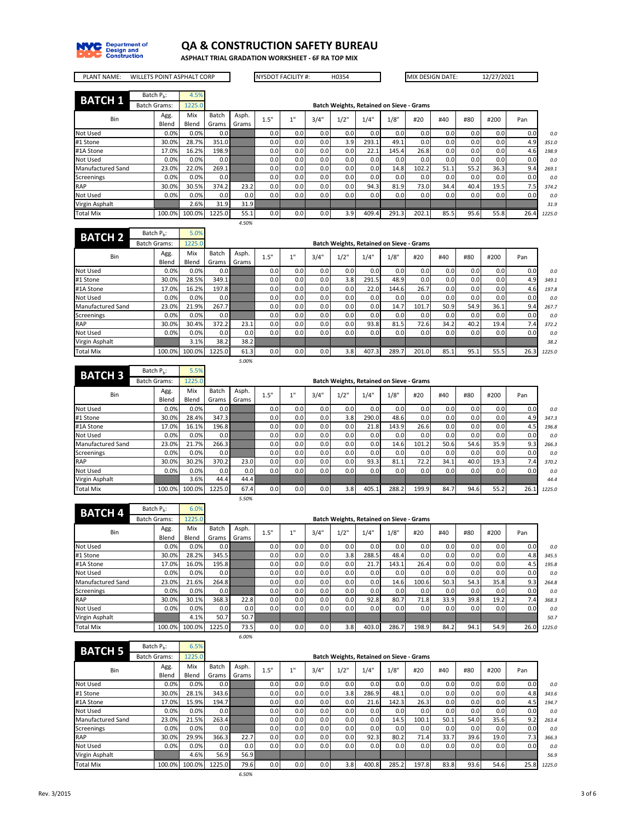

**ASPHALT TRIAL GRADATION WORKSHEET - 6F RA TOP MIX**

÷

÷,

| <b>PLANT NAME:</b>       |                        |               | <b>WILLETS POINT ASPHALT CORP</b> |                |                |      | <b>NYSDOT FACILITY #:</b> |      | H0354                                           |       |       |       | MIX DESIGN DATE: |      | 12/27/2021 |      |        |
|--------------------------|------------------------|---------------|-----------------------------------|----------------|----------------|------|---------------------------|------|-------------------------------------------------|-------|-------|-------|------------------|------|------------|------|--------|
| <b>BATCH 1</b>           | Batch P <sub>h</sub> : |               | 4.5%                              |                |                |      |                           |      |                                                 |       |       |       |                  |      |            |      |        |
|                          | <b>Batch Grams:</b>    |               | 1225.0                            |                |                |      |                           |      | <b>Batch Weights, Retained on Sieve - Grams</b> |       |       |       |                  |      |            |      |        |
| Bin                      |                        | Agg.<br>Blend | Mix<br>Blend                      | Batch<br>Grams | Asph.<br>Grams | 1.5" | 1"                        | 3/4" | 1/2"                                            | 1/4"  | 1/8"  | #20   | #40              | #80  | #200       | Pan  |        |
| Not Used                 |                        | 0.0%          | 0.0%                              | 0.0            |                | 0.0  | 0.0                       | 0.0  | 0.0                                             | 0.0   | 0.0   | 0.0   | 0.0              | 0.0  | 0.0        | 0.0  |        |
| #1 Stone                 |                        | 30.0%         | 28.7%                             | 351.0          |                | 0.0  | 0.0                       | 0.0  | 3.9                                             | 293.1 | 49.1  | 0.0   | 0.0              | 0.0  | 0.0        | 4.9  | 351.0  |
| #1A Stone                |                        | 17.0%         | 16.2%                             | 198.9          |                | 0.0  | 0.0                       | 0.0  | 0.0                                             | 22.1  | 145.4 | 26.8  | 0.0              | 0.0  | 0.0        | 4.6  | 198.9  |
| Not Used                 |                        | 0.0%          | 0.0%                              | 0.0            |                | 0.0  | 0.0                       | 0.0  | 0.0                                             | 0.0   | 0.0   | 0.0   | 0.0              | 0.0  | 0.0        | 0.0  |        |
| <b>Manufactured Sand</b> |                        | 23.0%         | 22.0%                             | 269.1          |                | 0.0  | 0.0                       | 0.01 | 0.0                                             | 0.0   | 14.8  | 102.2 | 51.1             | 55.2 | 36.3       | 9.4  | 269.1  |
| Screenings               |                        | 0.0%          | 0.0%                              | 0.0            |                | 0.0  | 0.0                       | 0.01 | 0.0                                             | 0.0   | 0.0   | 0.0   | 0.0              | 0.0  | 0.0        | 0.0  |        |
| <b>RAP</b>               |                        | 30.0%         | 30.5%                             | 374.2          | 23.2           | 0.0  | 0.0                       | 0.0  | 0.0                                             | 94.3  | 81.9  | 73.0  | 34.4             | 40.4 | 19.5       | 7.5  | 374.2  |
| Not Used                 |                        | 0.0%          | 0.0%                              | 0.0            | 0.0            | 0.0  | 0.0                       | 0.0  | 0.0                                             | 0.0   | 0.0   | 0.0   | 0.0              | 0.0  | 0.0        | 0.0  |        |
| Virgin Asphalt           |                        |               | 2.6%                              | 31.9           | 31.9           |      |                           |      |                                                 |       |       |       |                  |      |            |      | 31.9   |
| <b>Total Mix</b>         |                        | 100.0%        | 100.0%                            | 1225.0         | 55.1           | 0.0  | 0.0                       | 0.01 | 3.9                                             | 409.4 | 291.3 | 202.1 | 85.5             | 95.6 | 55.8       | 26.4 | 1225.0 |
|                          |                        |               |                                   |                | 4.50%          |      |                           |      |                                                 |       |       |       |                  |      |            |      |        |
| <b>BATCH 2</b>           | Batch $P_h$ :          |               | 5.0%                              |                |                |      |                           |      |                                                 |       |       |       |                  |      |            |      |        |
|                          | <b>Batch Grams:</b>    |               | 1225.0                            |                |                |      |                           |      | <b>Batch Weights, Retained on Sieve - Grams</b> |       |       |       |                  |      |            |      |        |
|                          |                        |               | .                                 | $\sim$ $\sim$  |                |      |                           |      |                                                 |       |       |       |                  |      |            |      |        |

 $\overline{a}$ 

|                   | <b>PULLIO</b> PULLIO |               | -----        |                  |                  |      |      |      |      | baten weights, netamed on sieve Grams |                  |       |      |                  |      |      |        |
|-------------------|----------------------|---------------|--------------|------------------|------------------|------|------|------|------|---------------------------------------|------------------|-------|------|------------------|------|------|--------|
| Bin               |                      | Agg.<br>Blend | Mix<br>Blend | Batch<br>Grams   | Asph.<br>Grams   | 1.5" | 4.11 | 3/4" | 1/2" | 1/4"                                  | 1/8"             | #20   | #40  | #80              | #200 | Pan  |        |
| Not Used          |                      | 0.0%          | 0.0%         | 0.01             |                  | 0.0  | 0.0  | 0.0  | 0.0  | 0.0                                   | 0.0 <sub>1</sub> | 0.0   | 0.0  | 0.0 <sub>1</sub> | 0.0  | 0.0  | 0.0    |
| #1 Stone          |                      | 30.0%         | 28.5%        | 349.1            |                  | 0.0  | 0.0  | 0.0  | 3.8  | 291.5                                 | 48.9             | 0.01  | 0.0  | 0.0              | 0.0  | 4.9  | 349.1  |
| #1A Stone         |                      | 17.0%         | 16.2%        | 197.8            |                  | 0.0  | 0.0  | 0.0  | 0.0  | 22.0                                  | 144.6            | 26.7  | 0.0  | 0.0              | 0.0  | 4.6  | 197.8  |
| Not Used          |                      | 0.0%          | $0.0\%$      | 0.01             |                  | 0.0  | 0.0  | 0.0  | 0.0  | 0.0                                   | 0.0 <sub>1</sub> | 0.01  | 0.0  | 0.0              | 0.0  | 0.0  | 0.0    |
| Manufactured Sand |                      | 23.0%         | 21.9%        | 267.7            |                  | 0.0  | 0.0  | 0.0  | 0.0  | 0.0                                   | 14.7             | 101.7 | 50.9 | 54.9             | 36.1 | 9.4  | 267.7  |
| Screenings        |                      | 0.0%          | $0.0\%$      | 0.0              |                  | 0.0  | 0.0  | 0.0  | 0.0  | 0.0                                   | 0.0 <sub>1</sub> | 0.01  | 0.0  | 0.0 <sub>1</sub> | 0.0  | 0.0  | 0.0    |
| <b>RAP</b>        |                      | 30.0%         | 30.4%        | 372.2            | 23.1             | 0.0  | 0.0  | 0.0  | 0.0  | 93.8                                  | 81.5             | 72.6  | 34.2 | 40.2             | 19.4 | 7.4  | 372.2  |
| Not Used          |                      | 0.0%          | $0.0\%$      | 0.0 <sub>1</sub> | 0.0 <sub>1</sub> | 0.0  | 0.0  | 0.0  | 0.0  | 0.0                                   | 0.0 <sub>1</sub> | 0.0   | 0.0  | 0.0              | 0.0  | 0.0  | 0.0    |
| Virgin Asphalt    |                      |               | 3.1%         | 38.2             | 38.2             |      |      |      |      |                                       |                  |       |      |                  |      |      | 38.2   |
| <b>Total Mix</b>  |                      | 100.0%        | 100.0%       | 1225.0           | 61.3             | 0.0  | 0.0  | 0.0  | 3.8  | 407.3                                 | 289.7            | 201.0 | 85.1 | 95.1             | 55.5 | 26.3 | 1225.0 |
|                   |                      |               |              |                  | 5.00%            |      |      |      |      |                                       |                  |       |      |                  |      |      |        |

| <b>BATCH 3</b>           | Batch P <sub>h</sub> : | 5.5%   |                  |       |      |     |      |      |                                                 |                  |                  |                  |                  |      |      |        |
|--------------------------|------------------------|--------|------------------|-------|------|-----|------|------|-------------------------------------------------|------------------|------------------|------------------|------------------|------|------|--------|
|                          | <b>Batch Grams:</b>    | 1225.0 |                  |       |      |     |      |      | <b>Batch Weights, Retained on Sieve - Grams</b> |                  |                  |                  |                  |      |      |        |
| Bin                      | Agg.                   | Mix    | Batch            | Asph. | 1.5" | 4H  | 3/4" | 1/2" | 1/4"                                            | 1/8"             | #20              | #40              | #80              | #200 | Pan  |        |
|                          | Blend                  | Blend  | Grams            | Grams |      |     |      |      |                                                 |                  |                  |                  |                  |      |      |        |
| Not Used                 | 0.0%                   | 0.0%   | 0.0 <sub>1</sub> |       | 0.0  | 0.0 | 0.0  | 0.0  | 0.0                                             | 0.0 <sub>1</sub> | 0.01             | 0.0              | 0.0 <sub>1</sub> | 0.0  | 0.0  | 0.0    |
| #1 Stone                 | 30.0%                  | 28.4%  | 347.3            |       | 0.0  | 0.0 | 0.0  | 3.8  | 290.0                                           | 48.6             | 0.0 <sub>1</sub> | 0.0 <sub>1</sub> | 0.0 <sub>1</sub> | 0.0  | 4.9  | 347.3  |
| #1A Stone                | 17.0%                  | 16.1%  | 196.8            |       | 0.0  | 0.0 | 0.0  | 0.0  | 21.8                                            | 143.9            | 26.6             | 0.0 <sub>1</sub> | 0.0 <sub>1</sub> | 0.0  | 4.5  | 196.8  |
| Not Used                 | 0.0%                   | 0.0%   | 0.0              |       | 0.0  | 0.0 | 0.0  | 0.0  | 0.0                                             | 0.0 <sub>1</sub> | 0.0 <sub>1</sub> | 0.0 <sub>1</sub> | 0.0              | 0.0  | 0.0  | 0.0    |
| <b>Manufactured Sand</b> | 23.0%                  | 21.7%  | 266.3            |       | 0.0  | 0.0 | 0.0  | 0.0  | 0.0                                             | 14.6             | 101.2            | 50.6             | 54.6             | 35.9 | 9.3  | 266.3  |
| Screenings               | 0.0%                   | 0.0%   | 0.0              |       | 0.0  | 0.0 | 0.0  | 0.0  | 0.0                                             | 0.0 <sub>1</sub> | 0.01             | 0.0              | 0.0              | 0.0  | 0.0  | 0.0    |
| <b>RAP</b>               | 30.0%                  | 30.2%  | 370.2            | 23.0  | 0.0  | 0.0 | 0.0  | 0.0  | 93.3                                            | 81.1             | 72.2             | 34.1             | 40.0             | 19.3 | 7.4  | 370.2  |
| Not Used                 | 0.0%                   | 0.0%   | 0.0 <sub>1</sub> | 0.0   | 0.0  | 0.0 | 0.0  | 0.0  | 0.0 <sub>1</sub>                                | 0.0 <sub>1</sub> | 0.01             | 0.0 <sub>1</sub> | 0.0 <sub>1</sub> | 0.0  | 0.0  | 0.0    |
| Virgin Asphalt           |                        | 3.6%   | 44.4             | 44.4  |      |     |      |      |                                                 |                  |                  |                  |                  |      |      | 44.4   |
| <b>Total Mix</b>         | 100.0%                 | 100.0% | 1225.0           | 67.4  | 0.0  | 0.0 | 0.0  | 3.8  | 405.1                                           | 288.2            | 199.9            | 84.7             | 94.6             | 55.2 | 26.1 | 1225.0 |
|                          |                        |        |                  | 5.50% |      |     |      |      |                                                 |                  |                  |                  |                  |      |      |        |

| <b>BATCH 4</b>    | Batch $P_h$ :       | 6.0%   |        |       |      |      |      |                                                 |       |       |                  |                  |                  |      |      |        |
|-------------------|---------------------|--------|--------|-------|------|------|------|-------------------------------------------------|-------|-------|------------------|------------------|------------------|------|------|--------|
|                   | <b>Batch Grams:</b> | 1225.0 |        |       |      |      |      | <b>Batch Weights, Retained on Sieve - Grams</b> |       |       |                  |                  |                  |      |      |        |
| Bin               | Agg.                | Mix    | Batch  | Asph. | 1.5" | 4.11 | 3/4" | 1/2"                                            | 1/4"  | 1/8"  | #20              | #40              | #80              | #200 | Pan  |        |
|                   | Blend               | Blend  | Grams  | Grams |      |      |      |                                                 |       |       |                  |                  |                  |      |      |        |
| Not Used          | 0.0%                | 0.0%   | 0.0    |       | 0.0  | 0.0  | 0.0  | 0.0                                             | 0.0   | 0.0   | 0.0 <sub>1</sub> | 0.0 <sub>1</sub> | 0.01             | 0.0  | 0.0  | 0.0    |
| #1 Stone          | 30.0%               | 28.2%  | 345.5  |       | 0.0  | 0.0  | 0.0  | 3.8                                             | 288.5 | 48.4  | 0.0 <sub>1</sub> | 0.0 <sub>1</sub> | 0.0 <sub>1</sub> | 0.0  | 4.8  | 345.5  |
| #1A Stone         | 17.0%               | 16.0%  | 195.8  |       | 0.0  | 0.0  | 0.0  | 0.0                                             | 21.7  | 143.1 | 26.4             | 0.0 <sub>1</sub> | 0.01             | 0.0  | 4.5  | 195.8  |
| Not Used          | 0.0%                | 0.0%   | 0.0    |       | 0.0  | 0.0  | 0.0  | 0.0                                             | 0.0   | 0.0   | 0.0 <sub>1</sub> | 0.0 <sub>1</sub> | 0.01             | 0.0  | 0.0  | 0.0    |
| Manufactured Sand | 23.0%               | 21.6%  | 264.8  |       | 0.0  | 0.0  | 0.0  | 0.0                                             | 0.0   | 14.6  | 100.6            | 50.3             | 54.3             | 35.8 | 9.3  | 264.8  |
| <b>Screenings</b> | 0.0%                | 0.0%   | 0.0    |       | 0.0  | 0.0  | 0.0  | 0.0                                             | 0.0   | 0.0   | 0.0 <sub>1</sub> | 0.0 <sub>1</sub> | 0.0 <sub>1</sub> | 0.0  | 0.0  | 0.0    |
| <b>RAP</b>        | 30.0%               | 30.1%  | 368.3  | 22.8  | 0.0  | 0.0  | 0.0  | 0.0                                             | 92.8  | 80.7  | 71.8             | 33.9             | 39.8             | 19.2 | 7.4  | 368.3  |
| Not Used          | 0.0%                | 0.0%   | 0.01   | 0.0   | 0.0  | 0.0  | 0.0  | 0.0                                             | 0.0   | 0.0   | 0.0 <sub>1</sub> | 0.01             | 0.0 <sub>1</sub> | 0.0  | 0.0  | 0.0    |
| Virgin Asphalt    |                     | 4.1%   | 50.7   | 50.7  |      |      |      |                                                 |       |       |                  |                  |                  |      |      | 50.7   |
| Total Mix         | 100.0%              | 100.0% | 1225.0 | 73.5  | 0.0  | 0.0  | 0.0  | 3.8                                             | 403.0 | 286.7 | 198.9            | 84.2             | 94.1             | 54.9 | 26.0 | 1225.0 |
|                   |                     |        |        | 6.00% |      |      |      |                                                 |       |       |                  |                  |                  |      |      |        |

| <b>BATCH 5</b>    | Batch P <sub>h</sub> : | 6.5%   |        |       |      |      |                  |                                                 |       |       |                  |                  |                  |      |      |        |
|-------------------|------------------------|--------|--------|-------|------|------|------------------|-------------------------------------------------|-------|-------|------------------|------------------|------------------|------|------|--------|
|                   | <b>Batch Grams:</b>    | 1225.0 |        |       |      |      |                  | <b>Batch Weights, Retained on Sieve - Grams</b> |       |       |                  |                  |                  |      |      |        |
| Bin               | Agg.                   | Mix    | Batch  | Asph. | 1.5" | 4.11 | 3/4"             | 1/2"                                            | 1/4"  | 1/8"  | #20              | #40              | #80              | #200 | Pan  |        |
|                   | Blend                  | Blend  | Grams  | Grams |      |      |                  |                                                 |       |       |                  |                  |                  |      |      |        |
| Not Used          | 0.0%                   | 0.0%   | 0.0    |       | 0.0  | 0.0  | 0.0              | 0.0                                             | 0.0   | 0.0   | 0.0              | 0.0 <sub>1</sub> | 0.0              | 0.0  | 0.0  | 0.0    |
| #1 Stone          | 30.0%                  | 28.1%  | 343.6  |       | 0.0  | 0.0  | 0.0              | 3.8                                             | 286.9 | 48.1  | 0.0 <sub>1</sub> | 0.0 <sub>1</sub> | 0.0 <sub>1</sub> | 0.0  | 4.8  | 343.6  |
| #1A Stone         | 17.0%                  | 15.9%  | 194.7  |       | 0.0  | 0.0  | 0.0              | 0.0                                             | 21.6  | 142.3 | 26.3             | 0.0 <sub>1</sub> | 0.0 <sub>1</sub> | 0.0  | 4.5  | 194.7  |
| Not Used          | 0.0%                   | 0.0%   | 0.01   |       | 0.0  | 0.0  | 0.0              | 0.0                                             | 0.0   | 0.01  | 0.0 <sub>1</sub> | 0.0 <sub>1</sub> | 0.0 <sub>1</sub> | 0.0  | 0.0  | 0.0    |
| Manufactured Sand | 23.0%                  | 21.5%  | 263.4  |       | 0.0  | 0.0  | 0.0              | 0.0                                             | 0.0   | 14.5  | 100.1            | 50.1             | 54.0             | 35.6 | 9.2  | 263.4  |
| <b>Screenings</b> | 0.0%                   | 0.0%   | 0.01   |       | 0.0  | 0.0  | 0.0              | 0.0                                             | 0.0   | 0.01  | 0.0 <sub>1</sub> | 0.0 <sub>1</sub> | 0.0 <sub>1</sub> | 0.0  | 0.0  | 0.0    |
| <b>RAP</b>        | 30.0%                  | 29.9%  | 366.3  | 22.7  | 0.0  | 0.0  | 0.0              | 0.0 <sub>1</sub>                                | 92.3  | 80.2  | 71.4             | 33.7             | 39.6             | 19.0 | 7.3  | 366.3  |
| Not Used          | 0.0%                   | 0.0%   | 0.0    | 0.0   | 0.0  | 0.0  | 0.0              | 0.0                                             | 0.0   | 0.0   | 0.0              | 0.0 <sub>1</sub> | 0.0              | 0.0  | 0.0  | 0.0    |
| Virgin Asphalt    |                        | 4.6%   | 56.9   | 56.9  |      |      |                  |                                                 |       |       |                  |                  |                  |      |      | 56.9   |
| <b>Total Mix</b>  | 100.0%                 | 100.0% | 1225.0 | 79.6  | 0.0  | 0.0  | 0.0 <sub>1</sub> | 3.8                                             | 400.8 | 285.2 | 197.8            | 83.8             | 93.6             | 54.6 | 25.8 | 1225.0 |
|                   |                        |        |        | 6.50% |      |      |                  |                                                 |       |       |                  |                  |                  |      |      |        |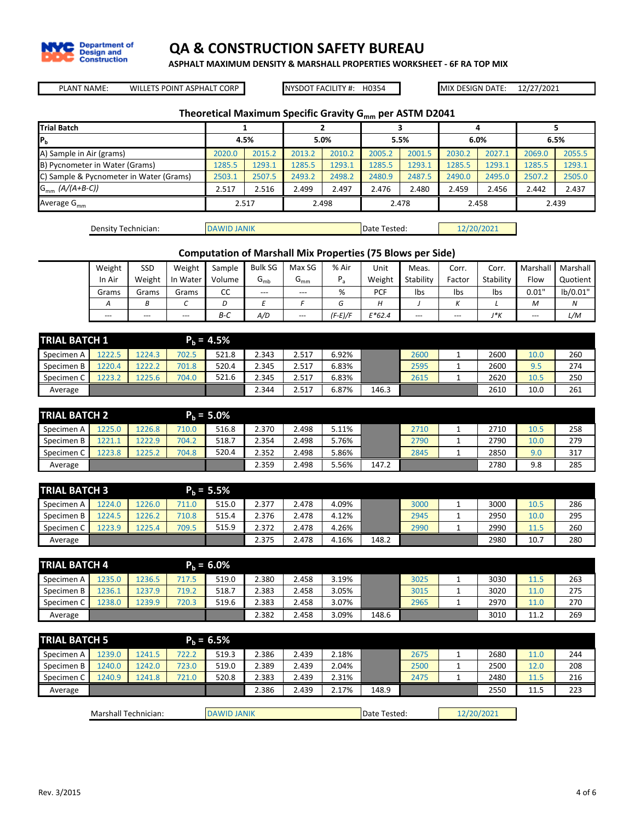

**ASPHALT MAXIMUM DENSITY & MARSHALL PROPERTIES WORKSHEET - 6F RA TOP MIX**

PLANT NAME: MIX DESIGN DATE: WILLETS POINT ASPHALT CORP NYSDOT FACILITY #:

NYSDOT FACILITY #: H0354

12/27/2021

## **Theoretical Maximum Specific Gravity Gmm per ASTM D2041**

| <b>Trial Batch</b>                      |        |        |        |        |        |        |        |        |        |        |  |
|-----------------------------------------|--------|--------|--------|--------|--------|--------|--------|--------|--------|--------|--|
| IР,                                     |        | 4.5%   |        | 5.0%   |        | 5.5%   |        | 6.0%   |        | 6.5%   |  |
| A) Sample in Air (grams)                | 2020.0 | 2015.2 | 2013.2 | 2010.2 | 2005.2 | 2001.5 | 2030.2 | 2027.1 | 2069.0 | 2055.5 |  |
| B) Pycnometer in Water (Grams)          | 1285.5 | 1293.1 | 1285.5 | 1293.1 | 1285.5 | 1293.1 | 1285.5 | 1293.1 | 1285.5 | 1293.1 |  |
| C) Sample & Pycnometer in Water (Grams) | 2503.1 | 2507.5 | 2493.2 | 2498.2 | 2480.9 | 2487.5 | 2490.0 | 2495.0 | 2507.2 | 2505.0 |  |
| $G_{mm}$ (A/(A+B-C))                    | 2.517  | 2.516  | 2.499  | 2.497  | 2.476  | 2.480  | 2.459  | 2.456  | 2.442  | 2.437  |  |
| Average $G_{mm}$                        |        | 2.517  |        | 2.498  |        | 2.478  |        | 2.458  |        | 2.439  |  |
|                                         |        |        |        |        |        |        |        |        |        |        |  |

| Density Technician: | <b>DAWID JANIK</b> | Date Tested: | 12/20/2021 |
|---------------------|--------------------|--------------|------------|
|                     |                    |              |            |

### **Computation of Marshall Mix Properties (75 Blows per Side)**

| Weight         | SSD    | Weight   | Sample | Bulk SG  | Max SG   | % Air     | Unit     | Meas.     | Corr.  | Corr.     | Marshall | Marshall |
|----------------|--------|----------|--------|----------|----------|-----------|----------|-----------|--------|-----------|----------|----------|
| In Air         | Weight | In Water | Volume | $G_{mb}$ | $G_{mm}$ | D<br>`a   | Weight   | Stability | Factor | Stability | Flow     | Quotient |
| Grams          | Grams  | Grams    | CC     | $- - -$  | $---$    | %         | PCF      | lbs       | Ibs    | Ibs       | 0.01"    | lb/0.01" |
| $\overline{A}$ |        |          |        |          |          |           |          |           |        |           | M        | Ν        |
| $---$          | $---$  | $- - -$  | $B-C$  | A/D      | $---$    | $(F-E)/F$ | $E*62.4$ | $---$     | $---$  | J*K       | $\cdots$ | L/M      |

| <b>TRIAL BATCH 1</b> |        |        |       | $P_h = 4.5%$ |       |       |       |       |      |   |      |      |     |
|----------------------|--------|--------|-------|--------------|-------|-------|-------|-------|------|---|------|------|-----|
| Specimen A           | 1222.5 | .224.3 | 702.5 | 521.8        | 2.343 | 2.517 | 6.92% |       | 2600 | - | 2600 | 10.0 | 260 |
| Specimen B           | 1220.4 | 222.3  | 701.8 | 520.4        | 2.345 | 2.517 | 6.83% |       | 2595 |   | 2600 | 9.5  | 274 |
| Specimen C           | 1223.2 | 225.6  | 704.0 | 521.6        | 2.345 | 2.517 | 6.83% |       | 2615 |   | 2620 | 10.5 | 250 |
| Average              |        |        |       |              | 2.344 | 2.517 | 6.87% | 146.3 |      |   | 2610 | 10.0 | 261 |

| <b>TRIAL BATCH 2</b> |        |        |       | $P_h = 5.0\%$ |       |       |       |       |      |         |      |      |     |
|----------------------|--------|--------|-------|---------------|-------|-------|-------|-------|------|---------|------|------|-----|
| Specimen A           | .225.0 | .226.8 | 710.0 | 516.8         | 2.370 | 2.498 | 5.11% |       | 2710 |         | 2710 | 10.5 | 258 |
| Specimen B           | 1221.1 | .222.9 | 704.2 | 518.7         | 2.354 | 2.498 | 5.76% |       | 2790 | <b></b> | 2790 | 10.0 | 279 |
| Specimen C           | 1223.8 | '225.  | 704.8 | 520.4         | 2.352 | 2.498 | 5.86% |       | 2845 |         | 2850 | 9.0  | 317 |
| Average              |        |        |       |               | 2.359 | 2.498 | 5.56% | 147.2 |      |         | 2780 | 9.8  | 285 |

| <b>TRIAL BATCH 3</b> |        |       |       | $P_h = 5.5\%$ |       |       |       |       |      |      |      |     |
|----------------------|--------|-------|-------|---------------|-------|-------|-------|-------|------|------|------|-----|
| Specimen A           | 1224.0 | 226.0 | 711.0 | 515.0         | 2.377 | 2.478 | 4.09% |       | 3000 | 3000 | 10.5 | 286 |
| Specimen B           | 1224.5 | 226.2 | 710.8 | 515.4         | 2.376 | 2.478 | 4.12% |       | 2945 | 2950 | 10.0 | 295 |
| Specimen C           | 1223.9 | 1225. | 709.5 | 515.9         | 2.372 | 2.478 | 4.26% |       | 2990 | 2990 | 11.5 | 260 |
| Average              |        |       |       |               | 2.375 | 2.478 | 4.16% | 148.2 |      | 2980 | 10.7 | 280 |

| <b>TRIAL BATCH 4</b> |        |        |       | $P_h = 6.0\%$ |       |       |       |       |      |      |      |     |
|----------------------|--------|--------|-------|---------------|-------|-------|-------|-------|------|------|------|-----|
| Specimen A           | 1235.0 | :236.5 | 717.5 | 519.0         | 2.380 | 2.458 | 3.19% |       | 3025 | 3030 | 11   | 263 |
| Specimen B           | .236.1 | .237.  | 719.2 | 518.7         | 2.383 | 2.458 | 3.05% |       | 3015 | 3020 | 11.0 | 275 |
| Specimen C           | .238.0 | .239.9 | 720.3 | 519.6         | 2.383 | 2.458 | 3.07% |       | 2965 | 2970 |      | 270 |
| Average              |        |        |       |               | 2.382 | 2.458 | 3.09% | 148.6 |      | 3010 | 11.2 | 269 |

| <b>TRIAL BATCH 5</b> |                      |        |       | $P_h = 6.5%$ |                    |       |       |       |              |            |      |     |
|----------------------|----------------------|--------|-------|--------------|--------------------|-------|-------|-------|--------------|------------|------|-----|
| Specimen A           | 1239.0               | 1241.5 | 722.2 | 519.3        | 2.386              | 2.439 | 2.18% |       | 2675         | 2680       | 11.0 | 244 |
| Specimen B           | 1240.0               | 1242.0 | 723.0 | 519.0        | 2.389              | 2.439 | 2.04% |       | 2500         | 2500       | 12.0 | 208 |
| Specimen C           | 1240.9               | 1241.8 | 721.0 | 520.8        | 2.383              | 2.439 | 2.31% |       | 2475         | 2480       | 11.5 | 216 |
| Average              |                      |        |       |              | 2.386              | 2.439 | 2.17% | 148.9 |              | 2550       | 11.5 | 223 |
|                      |                      |        |       |              |                    |       |       |       |              |            |      |     |
|                      | Marshall Technician: |        |       |              | <b>DAWID JANIK</b> |       |       |       | Date Tested: | 12/20/2021 |      |     |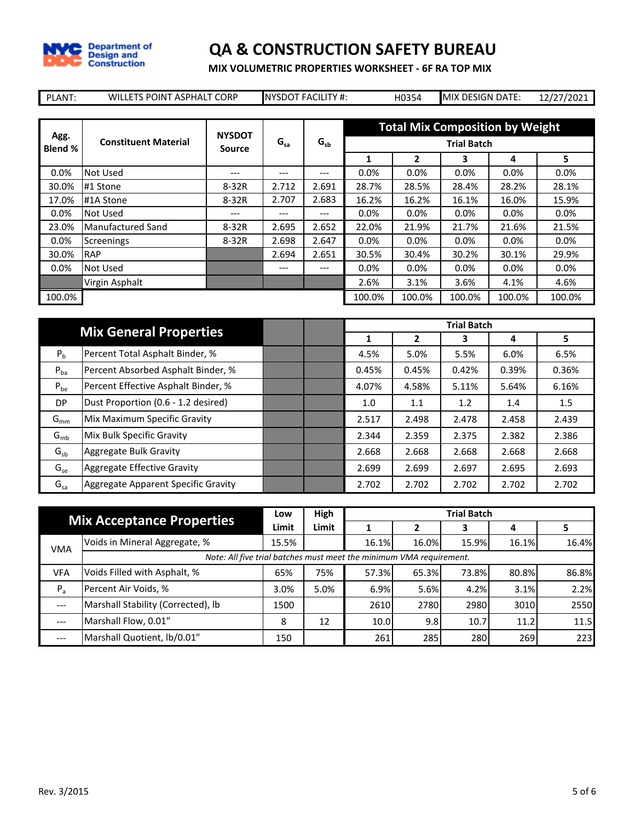

**MIX VOLUMETRIC PROPERTIES WORKSHEET - 6F RA TOP MIX**

| PLANT:          | WILLETS POINT ASPHALT CORP  |                         |          | <b>NYSDOT FACILITY #:</b> |         | H0354   | MIX DESIGN DATE:                       |        | 12/27/2021 |
|-----------------|-----------------------------|-------------------------|----------|---------------------------|---------|---------|----------------------------------------|--------|------------|
|                 |                             |                         |          |                           |         |         |                                        |        |            |
|                 |                             |                         |          |                           |         |         | <b>Total Mix Composition by Weight</b> |        |            |
| Agg.<br>Blend % | <b>Constituent Material</b> | <b>NYSDOT</b><br>Source | $G_{sa}$ | $G_{sb}$                  |         |         | <b>Trial Batch</b>                     |        |            |
|                 |                             |                         |          |                           | 1       | 2       | 3                                      | 4      | 5.         |
| 0.0%            | Not Used                    | ---                     | ---      | ---                       | $0.0\%$ | $0.0\%$ | 0.0%                                   | 0.0%   | $0.0\%$    |
| 30.0%           | #1 Stone                    | $8-32R$                 | 2.712    | 2.691                     | 28.7%   | 28.5%   | 28.4%                                  | 28.2%  | 28.1%      |
| 17.0%           | #1A Stone                   | $8-32R$                 | 2.707    | 2.683                     | 16.2%   | 16.2%   | 16.1%                                  | 16.0%  | 15.9%      |
| 0.0%            | Not Used                    | ---                     | ---      | ---                       | 0.0%    | $0.0\%$ | 0.0%                                   | 0.0%   | $0.0\%$    |
| 23.0%           | Manufactured Sand           | 8-32R                   | 2.695    | 2.652                     | 22.0%   | 21.9%   | 21.7%                                  | 21.6%  | 21.5%      |
| 0.0%            | Screenings                  | $8-32R$                 | 2.698    | 2.647                     | $0.0\%$ | $0.0\%$ | 0.0%                                   | 0.0%   | 0.0%       |
| 30.0%           | <b>RAP</b>                  |                         | 2.694    | 2.651                     | 30.5%   | 30.4%   | 30.2%                                  | 30.1%  | 29.9%      |
| 0.0%            | Not Used                    |                         | ---      | ---                       | 0.0%    | $0.0\%$ | 0.0%                                   | 0.0%   | $0.0\%$    |
|                 | Virgin Asphalt              |                         |          |                           | 2.6%    | 3.1%    | 3.6%                                   | 4.1%   | 4.6%       |
| 100.0%          |                             |                         |          |                           | 100.0%  | 100.0%  | 100.0%                                 | 100.0% | 100.0%     |

|                | <b>Mix General Properties</b>       |  |       |       | <b>Trial Batch</b> |       |       |
|----------------|-------------------------------------|--|-------|-------|--------------------|-------|-------|
|                |                                     |  | 1     | 2     | з                  | 4     | 5.    |
| P <sub>b</sub> | Percent Total Asphalt Binder, %     |  | 4.5%  | 5.0%  | 5.5%               | 6.0%  | 6.5%  |
| $P_{ba}$       | Percent Absorbed Asphalt Binder, %  |  | 0.45% | 0.45% | 0.42%              | 0.39% | 0.36% |
| $P_{be}$       | Percent Effective Asphalt Binder, % |  | 4.07% | 4.58% | 5.11%              | 5.64% | 6.16% |
| DP             | Dust Proportion (0.6 - 1.2 desired) |  | 1.0   | 1.1   | 1.2                | 1.4   | 1.5   |
| $G_{mm}$       | Mix Maximum Specific Gravity        |  | 2.517 | 2.498 | 2.478              | 2.458 | 2.439 |
| $G_{mb}$       | Mix Bulk Specific Gravity           |  | 2.344 | 2.359 | 2.375              | 2.382 | 2.386 |
| $G_{sb}$       | Aggregate Bulk Gravity              |  | 2.668 | 2.668 | 2.668              | 2.668 | 2.668 |
| $G_{se}$       | Aggregate Effective Gravity         |  | 2.699 | 2.699 | 2.697              | 2.695 | 2.693 |
| $G_{sa}$       | Aggregate Apparent Specific Gravity |  | 2.702 | 2.702 | 2.702              | 2.702 | 2.702 |

|            | <b>Mix Acceptance Properties</b>                                    |       | High  |       |       | <b>Trial Batch</b> |       |       |
|------------|---------------------------------------------------------------------|-------|-------|-------|-------|--------------------|-------|-------|
|            |                                                                     | Limit | Limit |       |       | э                  | 4     |       |
| <b>VMA</b> | Voids in Mineral Aggregate, %                                       | 15.5% |       | 16.1% | 16.0% | 15.9%              | 16.1% | 16.4% |
|            | Note: All five trial batches must meet the minimum VMA requirement. |       |       |       |       |                    |       |       |
| <b>VFA</b> | Voids Filled with Asphalt, %                                        | 65%   | 75%   | 57.3% | 65.3% | 73.8%              | 80.8% | 86.8% |
| $P_{a}$    | Percent Air Voids, %                                                | 3.0%  | 5.0%  | 6.9%  | 5.6%  | 4.2%               | 3.1%  | 2.2%  |
|            | Marshall Stability (Corrected), lb                                  | 1500  |       | 2610  | 2780  | 2980               | 3010  | 2550  |
|            | Marshall Flow, 0.01"                                                | 8     | 12    | 10.0  | 9.8   | 10.7               | 11.2  | 11.5  |
| ---        | Marshall Quotient, lb/0.01"                                         | 150   |       | 261   | 285   | 280                | 269I  | 223   |